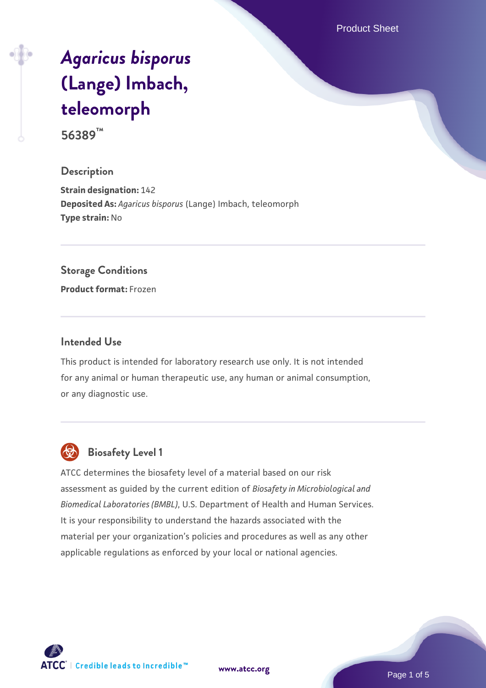Product Sheet

# *[Agaricus bisporus](https://www.atcc.org/products/56389)* **[\(Lange\) Imbach,](https://www.atcc.org/products/56389) [teleomorph](https://www.atcc.org/products/56389)**

**56389™**

## **Description**

**Strain designation:** 142 **Deposited As:** *Agaricus bisporus* (Lange) Imbach, teleomorph **Type strain:** No

#### **Storage Conditions**

**Product format:** Frozen

## **Intended Use**

This product is intended for laboratory research use only. It is not intended for any animal or human therapeutic use, any human or animal consumption, or any diagnostic use.



# **Biosafety Level 1**

ATCC determines the biosafety level of a material based on our risk assessment as guided by the current edition of *Biosafety in Microbiological and Biomedical Laboratories (BMBL)*, U.S. Department of Health and Human Services. It is your responsibility to understand the hazards associated with the material per your organization's policies and procedures as well as any other applicable regulations as enforced by your local or national agencies.

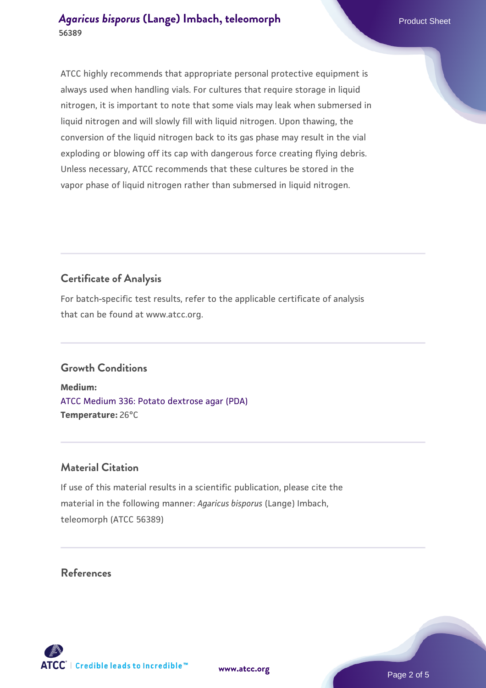ATCC highly recommends that appropriate personal protective equipment is always used when handling vials. For cultures that require storage in liquid nitrogen, it is important to note that some vials may leak when submersed in liquid nitrogen and will slowly fill with liquid nitrogen. Upon thawing, the conversion of the liquid nitrogen back to its gas phase may result in the vial exploding or blowing off its cap with dangerous force creating flying debris. Unless necessary, ATCC recommends that these cultures be stored in the vapor phase of liquid nitrogen rather than submersed in liquid nitrogen.

# **Certificate of Analysis**

For batch-specific test results, refer to the applicable certificate of analysis that can be found at www.atcc.org.

## **Growth Conditions**

**Medium:**  [ATCC Medium 336: Potato dextrose agar \(PDA\)](https://www.atcc.org/-/media/product-assets/documents/microbial-media-formulations/3/3/6/atcc-medium-336.pdf?rev=d9160ad44d934cd8b65175461abbf3b9) **Temperature:** 26°C

## **Material Citation**

If use of this material results in a scientific publication, please cite the material in the following manner: *Agaricus bisporus* (Lange) Imbach, teleomorph (ATCC 56389)

## **References**



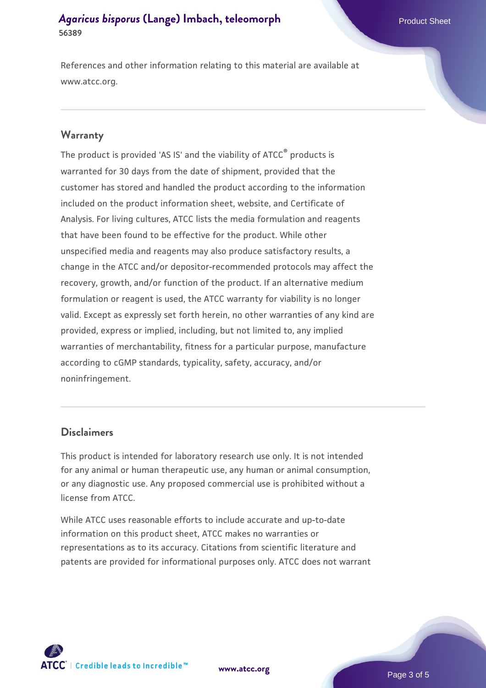References and other information relating to this material are available at www.atcc.org.

#### **Warranty**

The product is provided 'AS IS' and the viability of ATCC® products is warranted for 30 days from the date of shipment, provided that the customer has stored and handled the product according to the information included on the product information sheet, website, and Certificate of Analysis. For living cultures, ATCC lists the media formulation and reagents that have been found to be effective for the product. While other unspecified media and reagents may also produce satisfactory results, a change in the ATCC and/or depositor-recommended protocols may affect the recovery, growth, and/or function of the product. If an alternative medium formulation or reagent is used, the ATCC warranty for viability is no longer valid. Except as expressly set forth herein, no other warranties of any kind are provided, express or implied, including, but not limited to, any implied warranties of merchantability, fitness for a particular purpose, manufacture according to cGMP standards, typicality, safety, accuracy, and/or noninfringement.

#### **Disclaimers**

This product is intended for laboratory research use only. It is not intended for any animal or human therapeutic use, any human or animal consumption, or any diagnostic use. Any proposed commercial use is prohibited without a license from ATCC.

While ATCC uses reasonable efforts to include accurate and up-to-date information on this product sheet, ATCC makes no warranties or representations as to its accuracy. Citations from scientific literature and patents are provided for informational purposes only. ATCC does not warrant



**[www.atcc.org](http://www.atcc.org)**

Page 3 of 5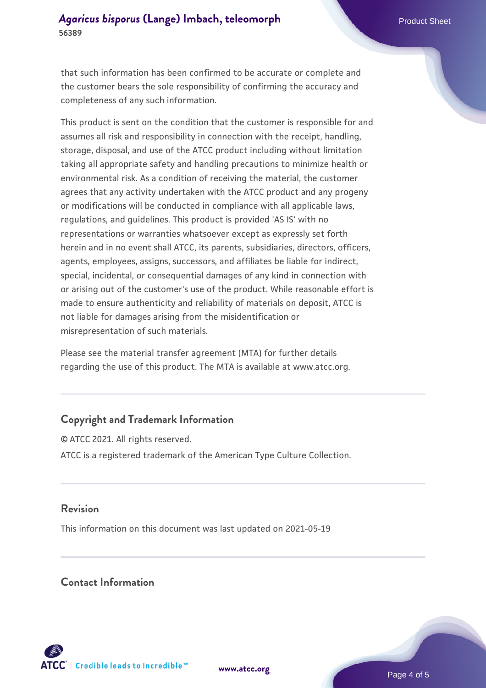that such information has been confirmed to be accurate or complete and the customer bears the sole responsibility of confirming the accuracy and completeness of any such information.

This product is sent on the condition that the customer is responsible for and assumes all risk and responsibility in connection with the receipt, handling, storage, disposal, and use of the ATCC product including without limitation taking all appropriate safety and handling precautions to minimize health or environmental risk. As a condition of receiving the material, the customer agrees that any activity undertaken with the ATCC product and any progeny or modifications will be conducted in compliance with all applicable laws, regulations, and guidelines. This product is provided 'AS IS' with no representations or warranties whatsoever except as expressly set forth herein and in no event shall ATCC, its parents, subsidiaries, directors, officers, agents, employees, assigns, successors, and affiliates be liable for indirect, special, incidental, or consequential damages of any kind in connection with or arising out of the customer's use of the product. While reasonable effort is made to ensure authenticity and reliability of materials on deposit, ATCC is not liable for damages arising from the misidentification or misrepresentation of such materials.

Please see the material transfer agreement (MTA) for further details regarding the use of this product. The MTA is available at www.atcc.org.

## **Copyright and Trademark Information**

© ATCC 2021. All rights reserved. ATCC is a registered trademark of the American Type Culture Collection.

## **Revision**

This information on this document was last updated on 2021-05-19

## **Contact Information**



**[www.atcc.org](http://www.atcc.org)**

Page 4 of 5